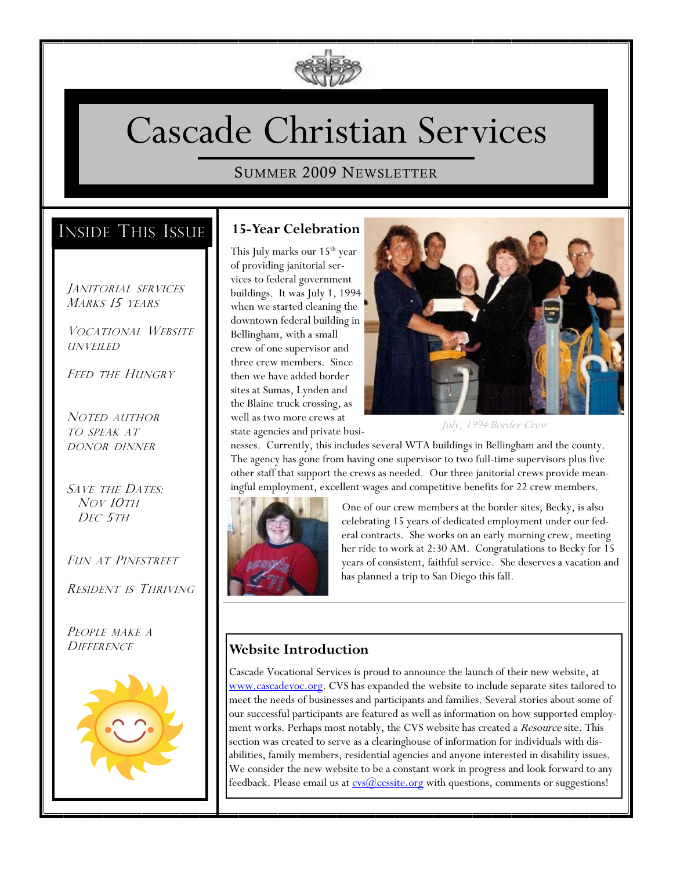

# Cascade Christian Services

### SUMMER 2009 NEWSLETTER

# INSIDE THIS ISSUE

JANITORIAL SERVICES MARKS<sub>15</sub> YEARS

VOCATIONAL WEBSITE UNVEILED

FEED THE HUNGRY

NOTED AUTHOR TO SPEAK AT DONOR DINNER

SAVE THE DATES: NOV 10TH DEC 5TH

FUN AT PINESTREET

RESIDENT IS THRIVING

PEOPLE MAKE A **DIFFERENCE** 



### **15-Year Celebration**

This July marks our 15<sup>th</sup> year of providing janitorial services to federal government buildings. It was July 1, 1994 when we started cleaning the downtown federal building in Bellingham, with a small crew of one supervisor and three crew members. Since then we have added border sites at Sumas, Lynden and the Blaine truck crossing, as well as two more crews at state agencies and private busi-



July, 1994 Border Crew

nesses. Currently, this includes several WTA buildings in Bellingham and the county. The agency has gone from having one supervisor to two full-time supervisors plus five other staff that support the crews as needed. Our three janitorial crews provide meaningful employment, excellent wages and competitive benefits for 22 crew members.



One of our crew members at the border sites, Becky, is also celebrating 15 years of dedicated employment under our federal contracts. She works on an early morning crew, meeting her ride to work at 2:30 AM. Congratulations to Becky for 15 years of consistent, faithful service. She deserves a vacation and has planned a trip to San Diego this fall.

## **Website Introduction**

Cascade Vocational Services is proud to announce the launch of their new website, at [www.cascadevoc.org.](http://www.cascadevoc.org) CVS has expanded the website to include separate sites tailored to meet the needs of businesses and participants and families. Several stories about some of our successful participants are featured as well as information on how supported employment works. Perhaps most notably, the CVS website has created a *Resource* site. This section was created to serve as a clearinghouse of information for individuals with disabilities, family members, residential agencies and anyone interested in disability issues. We consider the new website to be a constant work in progress and look forward to any feedback. Please email us at **cvs** @ccssite.org with questions, comments or suggestions!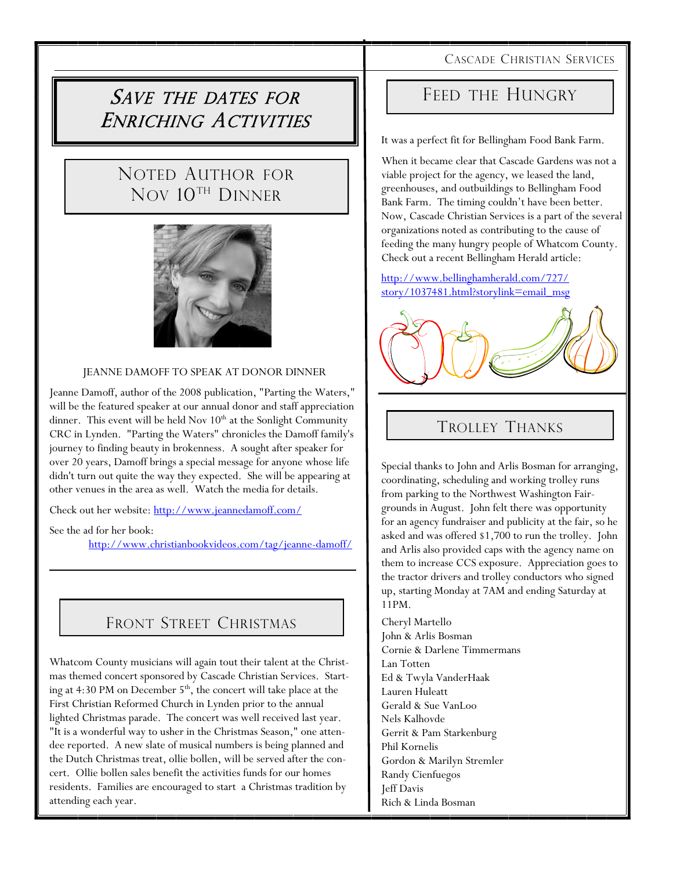#### CASCADE CHRISTIAN SERVICES

# SAVE THE DATES FOR ENRICHING ACTIVITIES

# NOTED AUTHOR FOR NOV 10TH DINNER



#### JEANNE DAMOFF TO SPEAK AT DONOR DINNER

Jeanne Damoff, author of the 2008 publication, "Parting the Waters," will be the featured speaker at our annual donor and staff appreciation dinner. This event will be held Nov  $10<sup>th</sup>$  at the Sonlight Community CRC in Lynden. "Parting the Waters" chronicles the Damoff family's journey to finding beauty in brokenness. A sought after speaker for over 20 years, Damoff brings a special message for anyone whose life didn't turn out quite the way they expected. She will be appearing at other venues in the area as well. Watch the media for details.

Check out her website: <http://www.jeannedamoff.com/>

See the ad for her book:

http://www.christianbookvideos.com/tag/jeanne-damoff/

## FRONT STREET CHRISTMAS

Whatcom County musicians will again tout their talent at the Christmas themed concert sponsored by Cascade Christian Services. Starting at 4:30 PM on December 5<sup>th</sup>, the concert will take place at the First Christian Reformed Church in Lynden prior to the annual lighted Christmas parade. The concert was well received last year. "It is a wonderful way to usher in the Christmas Season," one attendee reported. A new slate of musical numbers is being planned and the Dutch Christmas treat, ollie bollen, will be served after the concert. Ollie bollen sales benefit the activities funds for our homes residents. Families are encouraged to start a Christmas tradition by attending each year.

## FEED THE HUNGRY

It was a perfect fit for Bellingham Food Bank Farm.

When it became clear that Cascade Gardens was not a viable project for the agency, we leased the land, greenhouses, and outbuildings to Bellingham Food Bank Farm. The timing couldn't have been better. Now, Cascade Christian Services is a part of the several organizations noted as contributing to the cause of feeding the many hungry people of Whatcom County. Check out a recent Bellingham Herald article:

[http://www.bellinghamherald.com/727/](http://www.bellinghamherald.com/727/story/1037481.html?story_link=email_msg) [story/1037481.html?storylink=email\\_msg](http://www.bellinghamherald.com/727/story/1037481.html?story_link=email_msg)



# TROLLEY THANKS

Special thanks to John and Arlis Bosman for arranging, coordinating, scheduling and working trolley runs from parking to the Northwest Washington Fairgrounds in August. John felt there was opportunity for an agency fundraiser and publicity at the fair, so he asked and was offered \$1,700 to run the trolley. John and Arlis also provided caps with the agency name on them to increase CCS exposure. Appreciation goes to the tractor drivers and trolley conductors who signed up, starting Monday at 7AM and ending Saturday at 11PM.

Cheryl Martello John & Arlis Bosman Cornie & Darlene Timmermans Lan Totten Ed & Twyla VanderHaak Lauren Huleatt Gerald & Sue VanLoo Nels Kalhovde Gerrit & Pam Starkenburg Phil Kornelis Gordon & Marilyn Stremler Randy Cienfuegos Jeff Davis Rich & Linda Bosman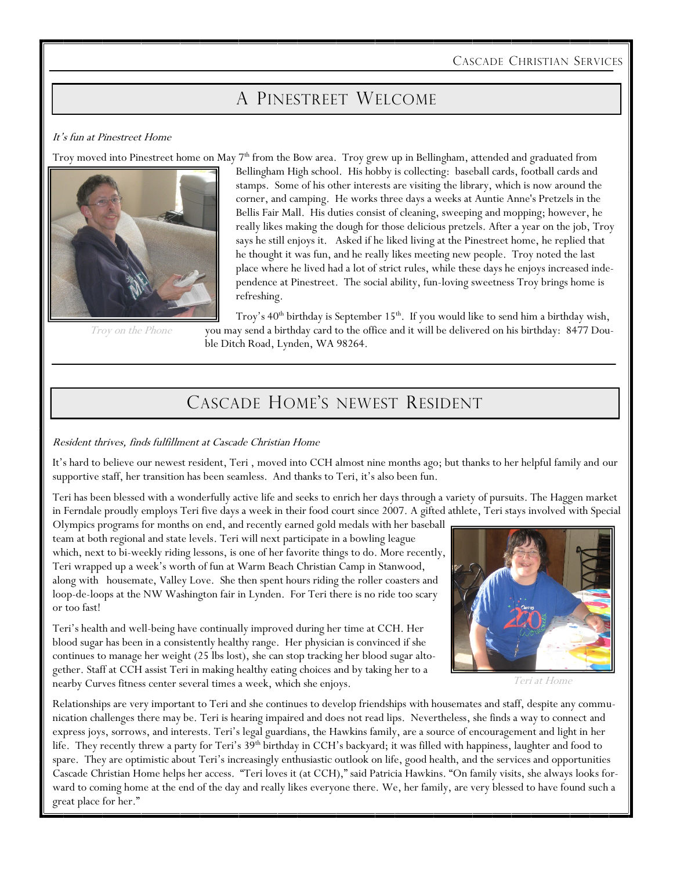CASCADE CHRISTIAN SERVICES

# A PINESTREET WELCOME

#### It's fun at Pinestreet Home

Troy moved into Pinestreet home on May 7<sup>th</sup> from the Bow area. Troy grew up in Bellingham, attended and graduated from



Troy on the Phone

Bellingham High school. His hobby is collecting: baseball cards, football cards and stamps. Some of his other interests are visiting the library, which is now around the corner, and camping. He works three days a weeks at Auntie Anne's Pretzels in the Bellis Fair Mall. His duties consist of cleaning, sweeping and mopping; however, he really likes making the dough for those delicious pretzels. After a year on the job, Troy says he still enjoys it. Asked if he liked living at the Pinestreet home, he replied that he thought it was fun, and he really likes meeting new people. Troy noted the last place where he lived had a lot of strict rules, while these days he enjoys increased independence at Pinestreet. The social ability, fun-loving sweetness Troy brings home is refreshing.

Troy's  $40<sup>th</sup>$  birthday is September 15<sup>th</sup>. If you would like to send him a birthday wish, you may send a birthday card to the office and it will be delivered on his birthday: 8477 Double Ditch Road, Lynden, WA 98264.

# CASCADE HOME'S NEWEST RESIDENT

#### Resident thrives, finds fulfillment at Cascade Christian Home

It's hard to believe our newest resident, Teri , moved into CCH almost nine months ago; but thanks to her helpful family and our supportive staff, her transition has been seamless. And thanks to Teri, it's also been fun.

Teri has been blessed with a wonderfully active life and seeks to enrich her days through a variety of pursuits. The Haggen market in Ferndale proudly employs Teri five days a week in their food court since 2007. A gifted athlete, Teri stays involved with Special

Olympics programs for months on end, and recently earned gold medals with her baseball team at both regional and state levels. Teri will next participate in a bowling league which, next to bi-weekly riding lessons, is one of her favorite things to do. More recently, Teri wrapped up a week's worth of fun at Warm Beach Christian Camp in Stanwood, along with housemate, Valley Love. She then spent hours riding the roller coasters and loop-de-loops at the NW Washington fair in Lynden. For Teri there is no ride too scary or too fast!



Teri at Home

Teri's health and well-being have continually improved during her time at CCH. Her blood sugar has been in a consistently healthy range. Her physician is convinced if she continues to manage her weight (25 lbs lost), she can stop tracking her blood sugar altogether. Staff at CCH assist Teri in making healthy eating choices and by taking her to a nearby Curves fitness center several times a week, which she enjoys.

Relationships are very important to Teri and she continues to develop friendships with housemates and staff, despite any communication challenges there may be. Teri is hearing impaired and does not read lips. Nevertheless, she finds a way to connect and express joys, sorrows, and interests. Teri's legal guardians, the Hawkins family, are a source of encouragement and light in her life. They recently threw a party for Teri's 39<sup>th</sup> birthday in CCH's backyard; it was filled with happiness, laughter and food to spare. They are optimistic about Teri's increasingly enthusiastic outlook on life, good health, and the services and opportunities Cascade Christian Home helps her access. "Teri loves it (at CCH)," said Patricia Hawkins. "On family visits, she always looks forward to coming home at the end of the day and really likes everyone there. We, her family, are very blessed to have found such a great place for her."